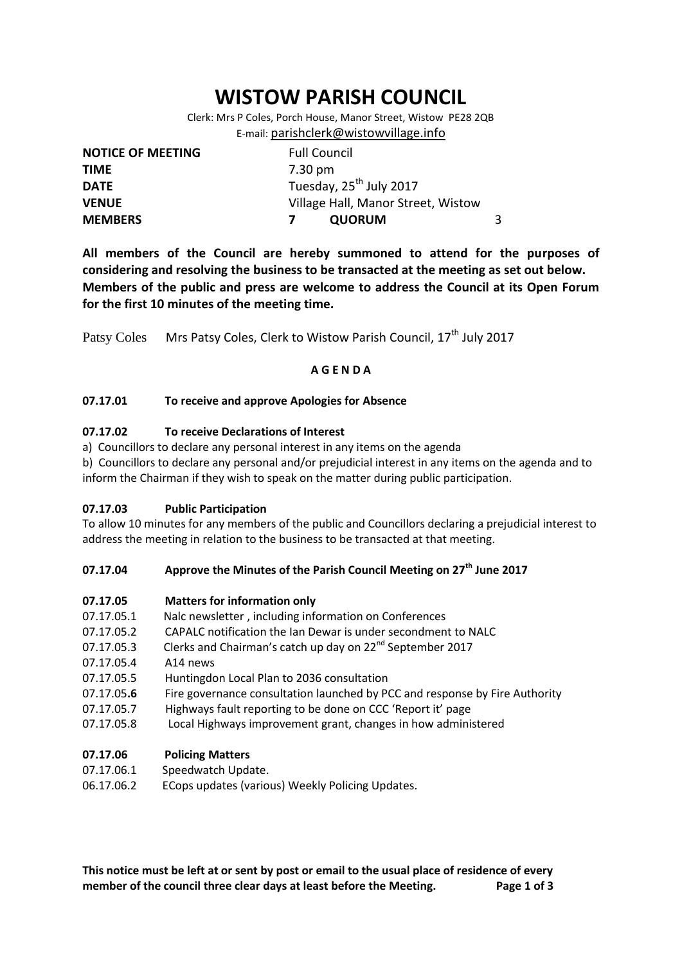# **WISTOW PARISH COUNCIL**

Clerk: Mrs P Coles, Porch House, Manor Street, Wistow PE28 2QB E-mail: [parishclerk@wistowvillage.info](mailto:parishclerk@wistowvillage.info)

| <b>NOTICE OF MEETING</b> | <b>Full Council</b>                 |   |
|--------------------------|-------------------------------------|---|
| <b>TIME</b>              | 7.30 pm                             |   |
| <b>DATE</b>              | Tuesday, 25 <sup>th</sup> July 2017 |   |
| <b>VENUE</b>             | Village Hall, Manor Street, Wistow  |   |
| <b>MEMBERS</b>           | <b>QUORUM</b>                       | 3 |

**All members of the Council are hereby summoned to attend for the purposes of considering and resolving the business to be transacted at the meeting as set out below. Members of the public and press are welcome to address the Council at its Open Forum for the first 10 minutes of the meeting time.**

Patsy Coles Mrs Patsy Coles, Clerk to Wistow Parish Council, 17<sup>th</sup> July 2017

## **A G E N D A**

## **07.17.01 To receive and approve Apologies for Absence**

## **07.17.02 To receive Declarations of Interest**

a) Councillors to declare any personal interest in any items on the agenda

b) Councillors to declare any personal and/or prejudicial interest in any items on the agenda and to inform the Chairman if they wish to speak on the matter during public participation.

## **07.17.03 Public Participation**

To allow 10 minutes for any members of the public and Councillors declaring a prejudicial interest to address the meeting in relation to the business to be transacted at that meeting.

## **07.17.04 Approve the Minutes of the Parish Council Meeting on 27th June 2017**

## **07.17.05 Matters for information only**

- 07.17.05.1 Nalc newsletter , including information on Conferences
- 07.17.05.2 CAPALC notification the Ian Dewar is under secondment to NALC
- 07.17.05.3 Clerks and Chairman's catch up day on 22<sup>nd</sup> September 2017
- 07.17.05.4 A14 news
- 07.17.05.5 Huntingdon Local Plan to 2036 consultation
- 07.17.05**.6** Fire governance consultation launched by PCC and response by Fire Authority
- 07.17.05.7 Highways fault reporting to be done on CCC 'Report it' page
- 07.17.05.8 Local Highways improvement grant, changes in how administered

## **07.17.06 Policing Matters**

- 07.17.06.1 Speedwatch Update.
- 06.17.06.2 ECops updates (various) Weekly Policing Updates.

**This notice must be left at or sent by post or email to the usual place of residence of every member of the council three clear days at least before the Meeting. Page 1 of 3**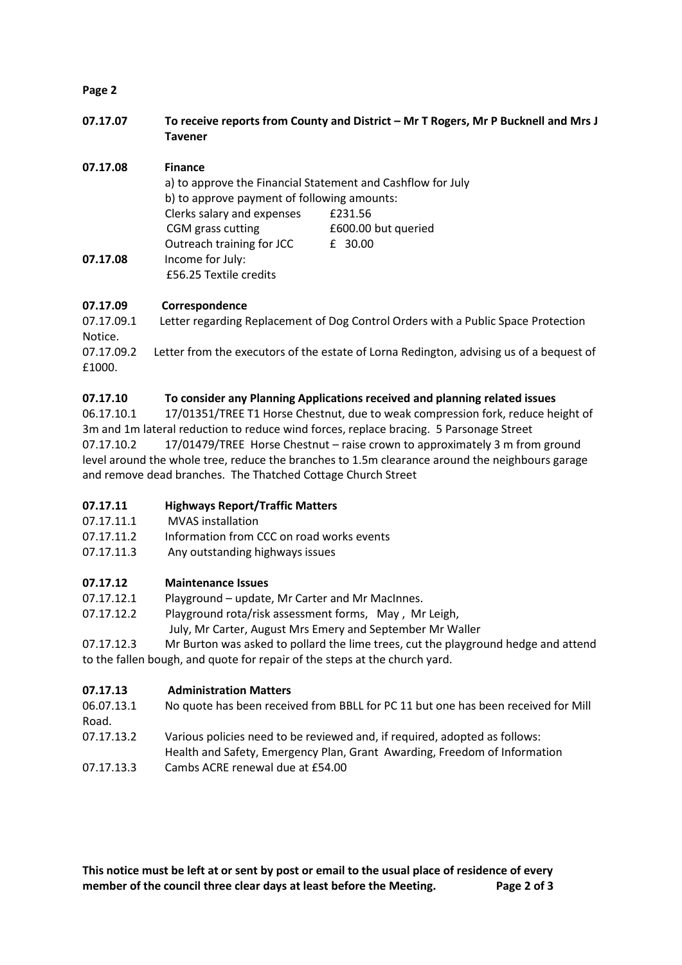## **Page 2**

**07.17.07 To receive reports from County and District – Mr T Rogers, Mr P Bucknell and Mrs J Tavener**

## **07.17.08 Finance**

|          | a) to approve the Financial Statement and Cashflow for July<br>b) to approve payment of following amounts: |                     |
|----------|------------------------------------------------------------------------------------------------------------|---------------------|
|          | Clerks salary and expenses                                                                                 | £231.56             |
|          | CGM grass cutting                                                                                          | £600.00 but queried |
|          | Outreach training for JCC                                                                                  | £ 30.00             |
| 07.17.08 | Income for July:                                                                                           |                     |
|          | £56.25 Textile credits                                                                                     |                     |

## **07.17.09 Correspondence**

07.17.09.1 Letter regarding Replacement of Dog Control Orders with a Public Space Protection Notice.<br>07.17.09.2 Letter from the executors of the estate of Lorna Redington, advising us of a bequest of

£1000.

## **07.17.10 To consider any Planning Applications received and planning related issues**

06.17.10.1 17/01351/TREE T1 Horse Chestnut, due to weak compression fork, reduce height of 3m and 1m lateral reduction to reduce wind forces, replace bracing. 5 Parsonage Street 07.17.10.2 17/01479/TREE Horse Chestnut – raise crown to approximately 3 m from ground level around the whole tree, reduce the branches to 1.5m clearance around the neighbours garage and remove dead branches. The Thatched Cottage Church Street

# **07.17.11 Highways Report/Traffic Matters**

- 07.17.11.1 MVAS installation
- 07.17.11.2 Information from CCC on road works events
- 07.17.11.3 Any outstanding highways issues

# **07.17.12 Maintenance Issues**

07.17.12.1 Playground – update, Mr Carter and Mr MacInnes.

- 07.17.12.2 Playground rota/risk assessment forms, May , Mr Leigh,
- July, Mr Carter, August Mrs Emery and September Mr Waller
- 07.17.12.3 Mr Burton was asked to pollard the lime trees, cut the playground hedge and attend to the fallen bough, and quote for repair of the steps at the church yard.

# **07.17.13 Administration Matters**

| 06.07.13.1 | No quote has been received from BBLL for PC 11 but one has been received for Mill |
|------------|-----------------------------------------------------------------------------------|
| Road.      |                                                                                   |
| 07.17.13.2 | Various policies need to be reviewed and, if required, adopted as follows:        |
|            | Health and Safety, Emergency Plan, Grant Awarding, Freedom of Information         |
| 07.17.13.3 | Cambs ACRE renewal due at £54.00                                                  |

**This notice must be left at or sent by post or email to the usual place of residence of every member of the council three clear days at least before the Meeting. Page 2 of 3**